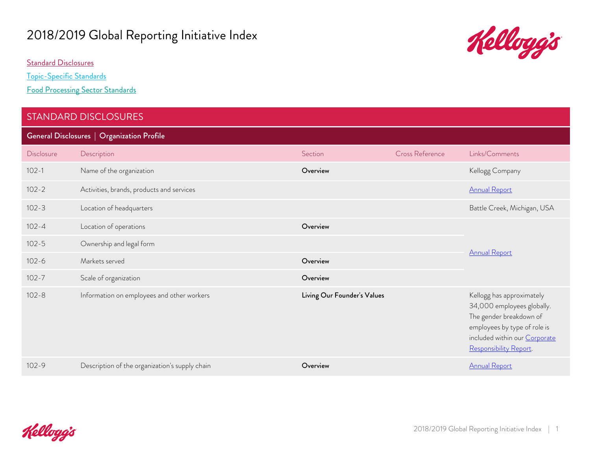# 2018/2019 Global Reporting Initiative Index

[Standard Disclosures](#page-0-0)

[Topic-Specific Standards](#page-6-0)

[Food Processing Sector Standards](#page-18-0)

#### <span id="page-0-0"></span>STANDARD DISCLOSURES

General Disclosures | Organization Profile

| <b>Disclosure</b> | Description                                    | Section                     | Cross Reference | Links/Comments                                                                                                                                                                |
|-------------------|------------------------------------------------|-----------------------------|-----------------|-------------------------------------------------------------------------------------------------------------------------------------------------------------------------------|
| $102 - 1$         | Name of the organization                       | Overview                    |                 | Kellogg Company                                                                                                                                                               |
| $102 - 2$         | Activities, brands, products and services      |                             |                 | <b>Annual Report</b>                                                                                                                                                          |
| $102 - 3$         | Location of headquarters                       |                             |                 | Battle Creek, Michigan, USA                                                                                                                                                   |
| $102 - 4$         | Location of operations                         | Overview                    |                 |                                                                                                                                                                               |
| $102 - 5$         | Ownership and legal form                       |                             |                 |                                                                                                                                                                               |
| $102 - 6$         | Markets served                                 | Overview                    |                 | <b>Annual Report</b>                                                                                                                                                          |
| $102 - 7$         | Scale of organization                          | Overview                    |                 |                                                                                                                                                                               |
| $102 - 8$         | Information on employees and other workers     | Living Our Founder's Values |                 | Kellogg has approximately<br>34,000 employees globally.<br>The gender breakdown of<br>employees by type of role is<br>included within our Corporate<br>Responsibility Report. |
| $102 - 9$         | Description of the organization's supply chain | Overview                    |                 | <b>Annual Report</b>                                                                                                                                                          |

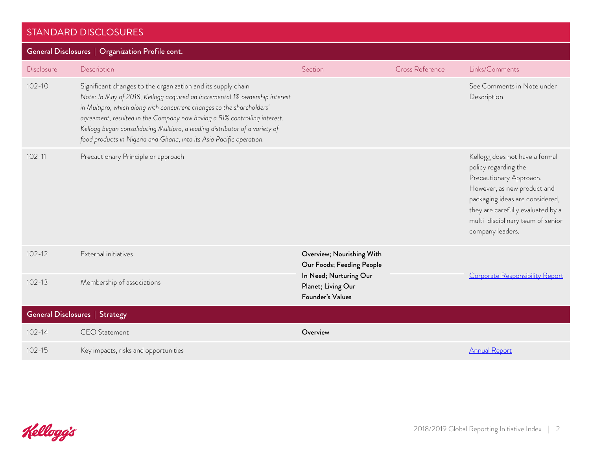| General Disclosures   Organization Profile cont. |                                                                                                                                                                                                                                                                                                                                                                                                                                                          |                                                                                  |                 |                                                                                                                                                                                                                                                   |
|--------------------------------------------------|----------------------------------------------------------------------------------------------------------------------------------------------------------------------------------------------------------------------------------------------------------------------------------------------------------------------------------------------------------------------------------------------------------------------------------------------------------|----------------------------------------------------------------------------------|-----------------|---------------------------------------------------------------------------------------------------------------------------------------------------------------------------------------------------------------------------------------------------|
| <b>Disclosure</b>                                | Description                                                                                                                                                                                                                                                                                                                                                                                                                                              | Section                                                                          | Cross Reference | Links/Comments                                                                                                                                                                                                                                    |
| $102 - 10$                                       | Significant changes to the organization and its supply chain<br>Note: In May of 2018, Kellogg acquired an incremental 1% ownership interest<br>in Multipro, which along with concurrent changes to the shareholders'<br>agreement, resulted in the Company now having a 51% controlling interest.<br>Kellogg began consolidating Multipro, a leading distributor of a variety of<br>food products in Nigeria and Ghana, into its Asia Pacific operation. |                                                                                  |                 | See Comments in Note under<br>Description.                                                                                                                                                                                                        |
| $102 - 11$                                       | Precautionary Principle or approach                                                                                                                                                                                                                                                                                                                                                                                                                      |                                                                                  |                 | Kellogg does not have a formal<br>policy regarding the<br>Precautionary Approach.<br>However, as new product and<br>packaging ideas are considered,<br>they are carefully evaluated by a<br>multi-disciplinary team of senior<br>company leaders. |
| $102 - 12$<br>$102 - 13$                         | External initiatives                                                                                                                                                                                                                                                                                                                                                                                                                                     | Overview; Nourishing With<br>Our Foods; Feeding People<br>In Need; Nurturing Our |                 | Corporate Responsibility Report                                                                                                                                                                                                                   |
|                                                  | Membership of associations                                                                                                                                                                                                                                                                                                                                                                                                                               | Planet; Living Our<br>Founder's Values                                           |                 |                                                                                                                                                                                                                                                   |
|                                                  | <b>General Disclosures   Strategy</b>                                                                                                                                                                                                                                                                                                                                                                                                                    |                                                                                  |                 |                                                                                                                                                                                                                                                   |
| $102 - 14$                                       | <b>CEO</b> Statement                                                                                                                                                                                                                                                                                                                                                                                                                                     | Overview                                                                         |                 |                                                                                                                                                                                                                                                   |
| $102 - 15$                                       | Key impacts, risks and opportunities                                                                                                                                                                                                                                                                                                                                                                                                                     |                                                                                  |                 | <b>Annual Report</b>                                                                                                                                                                                                                              |

Kelloggis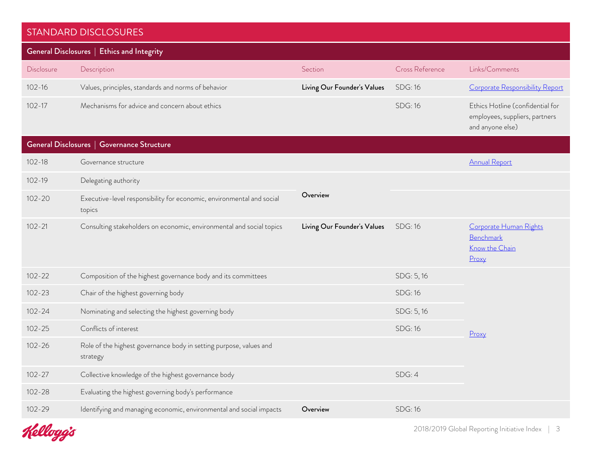| General Disclosures   Ethics and Integrity |                                                                                 |                             |                 |                                                                                        |  |
|--------------------------------------------|---------------------------------------------------------------------------------|-----------------------------|-----------------|----------------------------------------------------------------------------------------|--|
| Disclosure                                 | Description                                                                     | Section                     | Cross Reference | Links/Comments                                                                         |  |
| $102 - 16$                                 | Values, principles, standards and norms of behavior                             | Living Our Founder's Values | <b>SDG: 16</b>  | Corporate Responsibility Report                                                        |  |
| $102 - 17$                                 | Mechanisms for advice and concern about ethics                                  |                             | <b>SDG: 16</b>  | Ethics Hotline (confidential for<br>employees, suppliers, partners<br>and anyone else) |  |
| General Disclosures   Governance Structure |                                                                                 |                             |                 |                                                                                        |  |
| $102 - 18$                                 | Governance structure                                                            |                             |                 | <b>Annual Report</b>                                                                   |  |
| $102 - 19$                                 | Delegating authority                                                            |                             |                 |                                                                                        |  |
| $102 - 20$                                 | Executive-level responsibility for economic, environmental and social<br>topics | Overview                    |                 |                                                                                        |  |
| $102 - 21$                                 | Consulting stakeholders on economic, environmental and social topics            | Living Our Founder's Values | <b>SDG: 16</b>  | Corporate Human Rights<br>Benchmark<br>Know the Chain<br>Proxy                         |  |
| $102 - 22$                                 | Composition of the highest governance body and its committees                   |                             | SDG: 5, 16      |                                                                                        |  |
| $102 - 23$                                 | Chair of the highest governing body                                             |                             | <b>SDG: 16</b>  |                                                                                        |  |
| $102 - 24$                                 | Nominating and selecting the highest governing body                             |                             | SDG: 5, 16      |                                                                                        |  |
| $102 - 25$                                 | Conflicts of interest                                                           |                             | <b>SDG: 16</b>  | Proxy                                                                                  |  |
| $102 - 26$                                 | Role of the highest governance body in setting purpose, values and<br>strategy  |                             |                 |                                                                                        |  |
| $102 - 27$                                 | Collective knowledge of the highest governance body                             |                             | SDG: 4          |                                                                                        |  |
| $102 - 28$                                 | Evaluating the highest governing body's performance                             |                             |                 |                                                                                        |  |
| $102 - 29$                                 | Identifying and managing economic, environmental and social impacts             | Overview                    | <b>SDG: 16</b>  |                                                                                        |  |
|                                            |                                                                                 |                             |                 |                                                                                        |  |

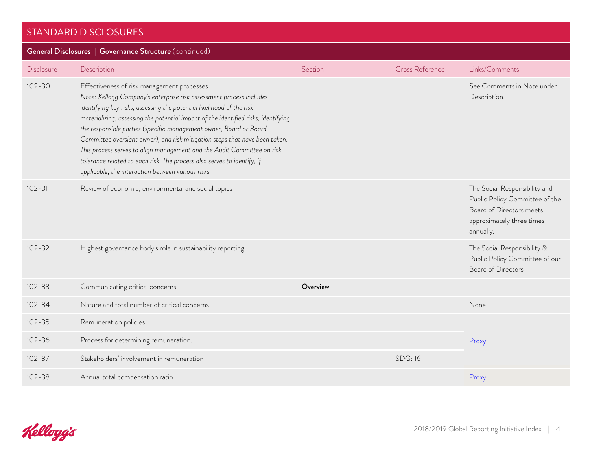| General Disclosures   Governance Structure (continued) |                                                                                                                                                                                                                                                                                                                                                                                                                                                                                                                                                                                                                                                   |          |                 |                                                                                                                                       |  |
|--------------------------------------------------------|---------------------------------------------------------------------------------------------------------------------------------------------------------------------------------------------------------------------------------------------------------------------------------------------------------------------------------------------------------------------------------------------------------------------------------------------------------------------------------------------------------------------------------------------------------------------------------------------------------------------------------------------------|----------|-----------------|---------------------------------------------------------------------------------------------------------------------------------------|--|
| Disclosure                                             | Description                                                                                                                                                                                                                                                                                                                                                                                                                                                                                                                                                                                                                                       | Section  | Cross Reference | Links/Comments                                                                                                                        |  |
| $102 - 30$                                             | Effectiveness of risk management processes<br>Note: Kellogg Company's enterprise risk assessment process includes<br>identifying key risks, assessing the potential likelihood of the risk<br>materializing, assessing the potential impact of the identified risks, identifying<br>the responsible parties (specific management owner, Board or Board<br>Committee oversight owner), and risk mitigation steps that have been taken.<br>This process serves to align management and the Audit Committee on risk<br>tolerance related to each risk. The process also serves to identify, if<br>applicable, the interaction between various risks. |          |                 | See Comments in Note under<br>Description.                                                                                            |  |
| $102 - 31$                                             | Review of economic, environmental and social topics                                                                                                                                                                                                                                                                                                                                                                                                                                                                                                                                                                                               |          |                 | The Social Responsibility and<br>Public Policy Committee of the<br>Board of Directors meets<br>approximately three times<br>annually. |  |
| $102 - 32$                                             | Highest governance body's role in sustainability reporting                                                                                                                                                                                                                                                                                                                                                                                                                                                                                                                                                                                        |          |                 | The Social Responsibility &<br>Public Policy Committee of our<br><b>Board of Directors</b>                                            |  |
| $102 - 33$                                             | Communicating critical concerns                                                                                                                                                                                                                                                                                                                                                                                                                                                                                                                                                                                                                   | Overview |                 |                                                                                                                                       |  |
| $102 - 34$                                             | Nature and total number of critical concerns                                                                                                                                                                                                                                                                                                                                                                                                                                                                                                                                                                                                      |          |                 | None                                                                                                                                  |  |
| $102 - 35$                                             | Remuneration policies                                                                                                                                                                                                                                                                                                                                                                                                                                                                                                                                                                                                                             |          |                 |                                                                                                                                       |  |
| $102 - 36$                                             | Process for determining remuneration.                                                                                                                                                                                                                                                                                                                                                                                                                                                                                                                                                                                                             |          |                 | Proxy                                                                                                                                 |  |
| $102 - 37$                                             | Stakeholders' involvement in remuneration                                                                                                                                                                                                                                                                                                                                                                                                                                                                                                                                                                                                         |          | <b>SDG: 16</b>  |                                                                                                                                       |  |
| $102 - 38$                                             | Annual total compensation ratio                                                                                                                                                                                                                                                                                                                                                                                                                                                                                                                                                                                                                   |          |                 | Proxy                                                                                                                                 |  |

Kelloggis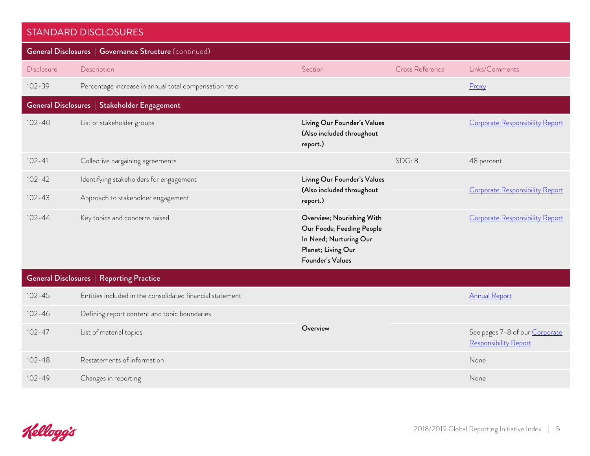| <b>STANDARD DISCLOSURES</b> |                                                           |                                                                                                                            |                 |                                                         |
|-----------------------------|-----------------------------------------------------------|----------------------------------------------------------------------------------------------------------------------------|-----------------|---------------------------------------------------------|
|                             | General Disclosures   Governance Structure (continued)    |                                                                                                                            |                 |                                                         |
| Disclosure                  | Description                                               | Section                                                                                                                    | Cross Reference | Links/Comments                                          |
| $102 - 39$                  | Percentage increase in annual total compensation ratio    |                                                                                                                            |                 | Proxy                                                   |
|                             | General Disclosures   Stakeholder Engagement              |                                                                                                                            |                 |                                                         |
| $102 - 40$                  | List of stakeholder groups                                | Living Our Founder's Values<br>(Also included throughout<br>report.)                                                       |                 | Corporate Responsibility Report                         |
| $102 - 41$                  | Collective bargaining agreements                          |                                                                                                                            | SDG: 8          | 48 percent                                              |
| $102 - 42$                  | Identifying stakeholders for engagement                   | Living Our Founder's Values                                                                                                |                 |                                                         |
| $102 - 43$                  | Approach to stakeholder engagement                        | (Also included throughout<br>report.)                                                                                      |                 | <b>Corporate Responsibility Report</b>                  |
| $102 - 44$                  | Key topics and concerns raised                            | Overview; Nourishing With<br>Our Foods; Feeding People<br>In Need; Nurturing Our<br>Planet; Living Our<br>Founder's Values |                 | Corporate Responsibility Report                         |
|                             | General Disclosures   Reporting Practice                  |                                                                                                                            |                 |                                                         |
| $102 - 45$                  | Entities included in the consolidated financial statement |                                                                                                                            |                 | <b>Annual Report</b>                                    |
| $102 - 46$                  | Defining report content and topic boundaries              |                                                                                                                            |                 |                                                         |
| $102 - 47$                  | List of material topics                                   | Overview                                                                                                                   |                 | See pages 7-8 of our Corporate<br>Responsibility Report |
| $102 - 48$                  | Restatements of information                               |                                                                                                                            |                 | None                                                    |
| $102 - 49$                  | Changes in reporting                                      |                                                                                                                            |                 | None                                                    |

Kelloggs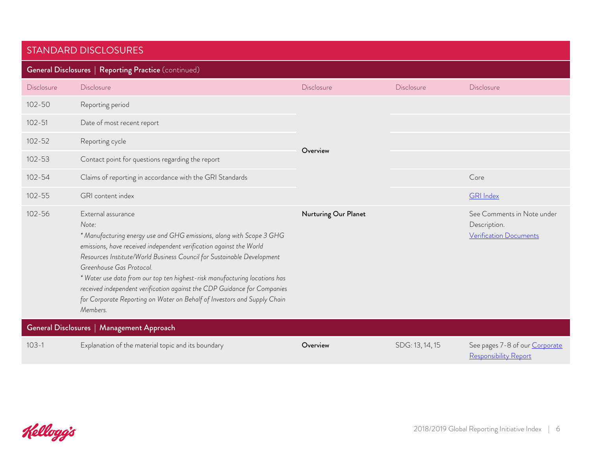| <b>General Disclosures   Reporting Practice (continued)</b> |                                                                                                                                                                                                                                                                                                                                                                                                                                                                                                                                    |                      |                 |                                                                      |
|-------------------------------------------------------------|------------------------------------------------------------------------------------------------------------------------------------------------------------------------------------------------------------------------------------------------------------------------------------------------------------------------------------------------------------------------------------------------------------------------------------------------------------------------------------------------------------------------------------|----------------------|-----------------|----------------------------------------------------------------------|
| Disclosure                                                  | Disclosure                                                                                                                                                                                                                                                                                                                                                                                                                                                                                                                         | Disclosure           | Disclosure      | Disclosure                                                           |
| $102 - 50$                                                  | Reporting period                                                                                                                                                                                                                                                                                                                                                                                                                                                                                                                   | Overview             |                 |                                                                      |
| $102 - 51$                                                  | Date of most recent report                                                                                                                                                                                                                                                                                                                                                                                                                                                                                                         |                      |                 |                                                                      |
| $102 - 52$                                                  | Reporting cycle                                                                                                                                                                                                                                                                                                                                                                                                                                                                                                                    |                      |                 |                                                                      |
| $102 - 53$                                                  | Contact point for questions regarding the report                                                                                                                                                                                                                                                                                                                                                                                                                                                                                   |                      |                 |                                                                      |
| $102 - 54$                                                  | Claims of reporting in accordance with the GRI Standards                                                                                                                                                                                                                                                                                                                                                                                                                                                                           |                      |                 | Core                                                                 |
| $102 - 55$                                                  | GRI content index                                                                                                                                                                                                                                                                                                                                                                                                                                                                                                                  |                      |                 | <b>GRI</b> Index                                                     |
| $102 - 56$                                                  | External assurance<br>Note:<br>* Manufacturing energy use and GHG emissions, along with Scope 3 GHG<br>emissions, have received independent verification against the World<br>Resources Institute/World Business Council for Sustainable Development<br>Greenhouse Gas Protocol.<br>* Water use data from our top ten highest-risk manufacturing locations has<br>received independent verification against the CDP Guidance for Companies<br>for Corporate Reporting on Water on Behalf of Investors and Supply Chain<br>Members. | Nurturing Our Planet |                 | See Comments in Note under<br>Description.<br>Verification Documents |
|                                                             | General Disclosures   Management Approach                                                                                                                                                                                                                                                                                                                                                                                                                                                                                          |                      |                 |                                                                      |
| $103 - 1$                                                   | Explanation of the material topic and its boundary                                                                                                                                                                                                                                                                                                                                                                                                                                                                                 | Overview             | SDG: 13, 14, 15 | See pages 7-8 of our Corporate<br>Responsibility Report              |

Kelloggis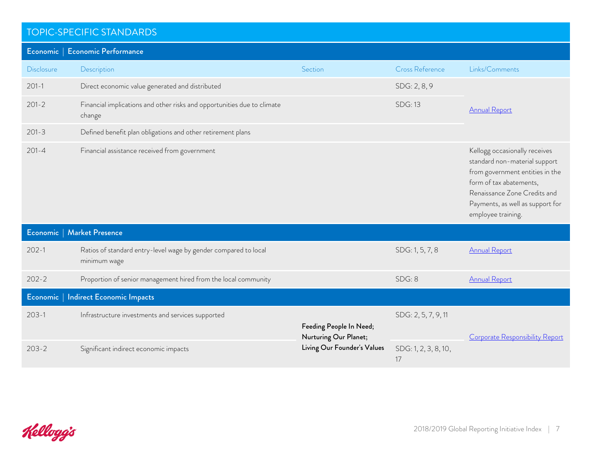<span id="page-6-0"></span>

|                   | Economic   Economic Performance                                                   |                                                  |                            |                                                                                                                                                                                                                        |
|-------------------|-----------------------------------------------------------------------------------|--------------------------------------------------|----------------------------|------------------------------------------------------------------------------------------------------------------------------------------------------------------------------------------------------------------------|
| <b>Disclosure</b> | Description                                                                       | Section                                          | <b>Cross Reference</b>     | Links/Comments                                                                                                                                                                                                         |
| $201 - 1$         | Direct economic value generated and distributed                                   |                                                  | SDG: 2, 8, 9               |                                                                                                                                                                                                                        |
| $201 - 2$         | Financial implications and other risks and opportunities due to climate<br>change |                                                  | <b>SDG: 13</b>             | <b>Annual Report</b>                                                                                                                                                                                                   |
| $201 - 3$         | Defined benefit plan obligations and other retirement plans                       |                                                  |                            |                                                                                                                                                                                                                        |
| $201 - 4$         | Financial assistance received from government                                     |                                                  |                            | Kellogg occasionally receives<br>standard non-material support<br>from government entities in the<br>form of tax abatements,<br>Renaissance Zone Credits and<br>Payments, as well as support for<br>employee training. |
|                   | Economic   Market Presence                                                        |                                                  |                            |                                                                                                                                                                                                                        |
| $202 - 1$         | Ratios of standard entry-level wage by gender compared to local<br>minimum wage   |                                                  | SDG: 1, 5, 7, 8            | <b>Annual Report</b>                                                                                                                                                                                                   |
| $202 - 2$         | Proportion of senior management hired from the local community                    |                                                  | SDG: 8                     | <b>Annual Report</b>                                                                                                                                                                                                   |
|                   | Economic   Indirect Economic Impacts                                              |                                                  |                            |                                                                                                                                                                                                                        |
| $203-1$           | Infrastructure investments and services supported                                 | Feeding People In Need;<br>Nurturing Our Planet; | SDG: 2, 5, 7, 9, 11        | Corporate Responsibility Report                                                                                                                                                                                        |
| $203 - 2$         | Significant indirect economic impacts                                             | Living Our Founder's Values                      | SDG: 1, 2, 3, 8, 10,<br>17 |                                                                                                                                                                                                                        |

Kelloggis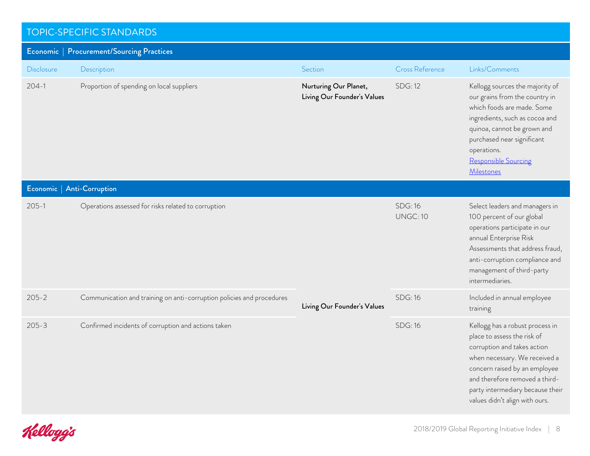#### TOPIC-SPECIFIC STANDARDS Economic | Procurement/Sourcing Practices Disclosure Description Section Cross Reference Links/Comments 204-1 Proportion of spending on local suppliers **Proportion States Nurturing Our Planet**, Living Our Founder's Values SDG: 12 Kellogg sources the majority of our grains from the country in which foods are made. Some ingredients, such as cocoa and quinoa, cannot be grown and purchased near significant operations. [Responsible Sourcing](http://crreport.kelloggcompany.com/responsible-sourcing-ingredients)  [Milestones](http://crreport.kelloggcompany.com/responsible-sourcing-ingredients) Economic | Anti-Corruption 205-1 Operations assessed for risks related to corruption Living Our Founder's Values SDG: 16 UNGC: 10 Select leaders and managers in 100 percent of our global operations participate in our annual Enterprise Risk Assessments that address fraud, anti-corruption compliance and management of third-party intermediaries. 205-2 Communication and training on anti-corruption policies and procedures SDG: 16 SDG: 16 Included in annual employee training 205-3 Confirmed incidents of corruption and actions taken SDG: 16 SDG: 16 Kellogg has a robust process in place to assess the risk of corruption and takes action when necessary. We received a concern raised by an employee and therefore removed a thirdparty intermediary because their values didn't align with ours.

Kelloggis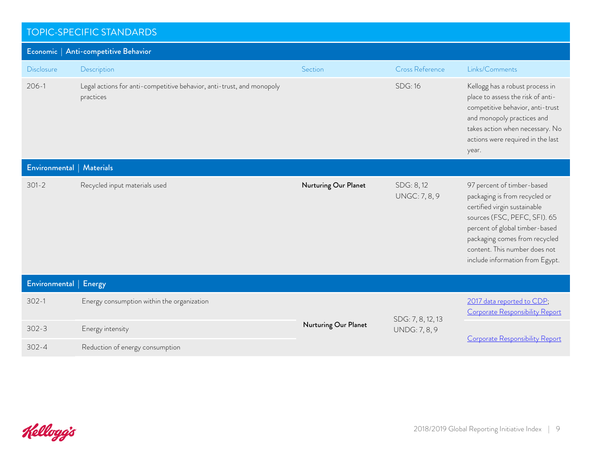| Economic   Anti-competitive Behavior |                                                                                    |                      |                                   |                                                                                                                                                                                                                                                                    |
|--------------------------------------|------------------------------------------------------------------------------------|----------------------|-----------------------------------|--------------------------------------------------------------------------------------------------------------------------------------------------------------------------------------------------------------------------------------------------------------------|
| <b>Disclosure</b>                    | Description                                                                        | Section              | <b>Cross Reference</b>            | Links/Comments                                                                                                                                                                                                                                                     |
| $206 - 1$                            | Legal actions for anti-competitive behavior, anti-trust, and monopoly<br>practices |                      | <b>SDG: 16</b>                    | Kellogg has a robust process in<br>place to assess the risk of anti-<br>competitive behavior, anti-trust<br>and monopoly practices and<br>takes action when necessary. No<br>actions were required in the last<br>year.                                            |
| Environmental   Materials            |                                                                                    |                      |                                   |                                                                                                                                                                                                                                                                    |
| $301 - 2$                            | Recycled input materials used                                                      | Nurturing Our Planet | SDG: 8,12<br><b>UNGC: 7, 8, 9</b> | 97 percent of timber-based<br>packaging is from recycled or<br>certified virgin sustainable<br>sources (FSC, PEFC, SFI). 65<br>percent of global timber-based<br>packaging comes from recycled<br>content. This number does not<br>include information from Egypt. |
| Environmental   Energy               |                                                                                    |                      |                                   |                                                                                                                                                                                                                                                                    |
| $302 - 1$                            | Energy consumption within the organization                                         |                      | SDG: 7, 8, 12, 13                 | 2017 data reported to CDP;<br>Corporate Responsibility Report                                                                                                                                                                                                      |
| $302 - 3$                            | Energy intensity                                                                   | Nurturing Our Planet | <b>UNDG: 7, 8, 9</b>              |                                                                                                                                                                                                                                                                    |
| $302 - 4$                            | Reduction of energy consumption                                                    |                      |                                   | Corporate Responsibility Report                                                                                                                                                                                                                                    |

Kelloggis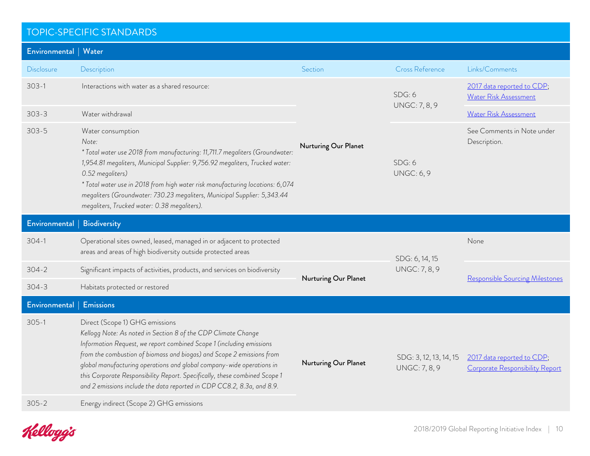| Environmental   Water     |                                                                                                                                                                                                                                                                                                                                                                                                                                                                                                                              |                      |                                                |                                                               |
|---------------------------|------------------------------------------------------------------------------------------------------------------------------------------------------------------------------------------------------------------------------------------------------------------------------------------------------------------------------------------------------------------------------------------------------------------------------------------------------------------------------------------------------------------------------|----------------------|------------------------------------------------|---------------------------------------------------------------|
| <b>Disclosure</b>         | Description                                                                                                                                                                                                                                                                                                                                                                                                                                                                                                                  | Section              | <b>Cross Reference</b>                         | Links/Comments                                                |
| $303 - 1$                 | Interactions with water as a shared resource:                                                                                                                                                                                                                                                                                                                                                                                                                                                                                | Nurturing Our Planet | SDG: 6                                         | 2017 data reported to CDP;<br>Water Risk Assessment           |
| $303 - 3$                 | Water withdrawal                                                                                                                                                                                                                                                                                                                                                                                                                                                                                                             |                      | <b>UNGC: 7, 8, 9</b>                           | Water Risk Assessment                                         |
| $303 - 5$                 | Water consumption<br>Note:<br>* Total water use 2018 from manufacturing: 11,711.7 megaliters (Groundwater:<br>1,954.81 megaliters, Municipal Supplier: 9,756.92 megaliters, Trucked water:<br>0.52 megaliters)<br>* Total water use in 2018 from high water risk manufacturing locations: 6,074<br>megaliters (Groundwater: 730.23 megaliters, Municipal Supplier: 5,343.44<br>megaliters, Trucked water: 0.38 megaliters).                                                                                                  |                      | SDG: 6<br><b>UNGC: 6, 9</b>                    | See Comments in Note under<br>Description.                    |
| Environmental             | <b>Biodiversity</b>                                                                                                                                                                                                                                                                                                                                                                                                                                                                                                          |                      |                                                |                                                               |
| $304-1$                   | Operational sites owned, leased, managed in or adjacent to protected                                                                                                                                                                                                                                                                                                                                                                                                                                                         |                      |                                                | None                                                          |
|                           | areas and areas of high biodiversity outside protected areas                                                                                                                                                                                                                                                                                                                                                                                                                                                                 |                      |                                                |                                                               |
| $304 - 2$                 | Significant impacts of activities, products, and services on biodiversity                                                                                                                                                                                                                                                                                                                                                                                                                                                    |                      | SDG: 6, 14, 15<br><b>UNGC: 7, 8, 9</b>         |                                                               |
| $304 - 3$                 | Habitats protected or restored                                                                                                                                                                                                                                                                                                                                                                                                                                                                                               | Nurturing Our Planet |                                                | Responsible Sourcing Milestones                               |
| Environmental   Emissions |                                                                                                                                                                                                                                                                                                                                                                                                                                                                                                                              |                      |                                                |                                                               |
| $305-1$<br>$305 - 2$      | Direct (Scope 1) GHG emissions<br>Kellogg Note: As noted in Section 8 of the CDP Climate Change<br>Information Request, we report combined Scope 1 (including emissions<br>from the combustion of biomass and biogas) and Scope 2 emissions from<br>global manufacturing operations and global company-wide operations in<br>this Corporate Responsibility Report. Specifically, these combined Scope 1<br>and 2 emissions include the data reported in CDP CC8.2, 8.3a, and 8.9.<br>Energy indirect (Scope 2) GHG emissions | Nurturing Our Planet | SDG: 3, 12, 13, 14, 15<br><b>UNGC: 7, 8, 9</b> | 2017 data reported to CDP;<br>Corporate Responsibility Report |

Kelloggs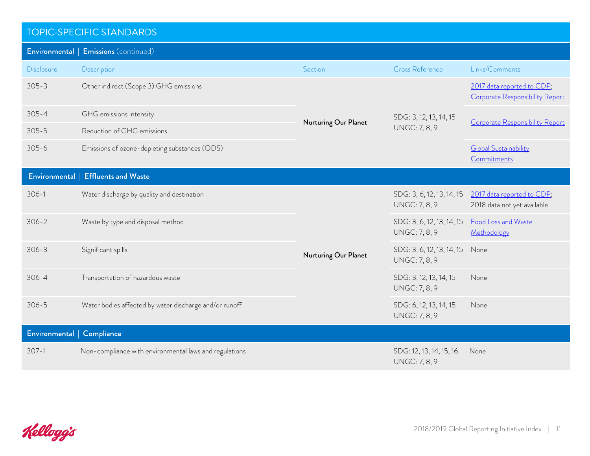| <b>TOPIC-SPECIFIC STANDARDS</b> |                                                        |                      |                                                   |                                                               |
|---------------------------------|--------------------------------------------------------|----------------------|---------------------------------------------------|---------------------------------------------------------------|
|                                 | Environmental   Emissions (continued)                  |                      |                                                   |                                                               |
| Disclosure                      | Description                                            | Section              | <b>Cross Reference</b>                            | Links/Comments                                                |
| $305 - 3$                       | Other indirect (Scope 3) GHG emissions                 | Nurturing Our Planet |                                                   | 2017 data reported to CDP;<br>Corporate Responsibility Report |
| $305 - 4$                       | GHG emissions intensity                                |                      | SDG: 3, 12, 13, 14, 15                            |                                                               |
| $305 - 5$                       | Reduction of GHG emissions                             |                      | <b>UNGC: 7, 8, 9</b>                              | Corporate Responsibility Report                               |
| $305 - 6$                       | Emissions of ozone-depleting substances (ODS)          |                      |                                                   | <b>Global Sustainability</b><br>Commitments                   |
| Environmental                   | <b>Effluents and Waste</b>                             |                      |                                                   |                                                               |
| $306-1$                         | Water discharge by quality and destination             |                      | SDG: 3, 6, 12, 13, 14, 15<br><b>UNGC: 7, 8, 9</b> | 2017 data reported to CDP;<br>2018 data not yet available     |
| $306 - 2$                       | Waste by type and disposal method                      |                      | SDG: 3, 6, 12, 13, 14, 15<br><b>UNGC: 7, 8, 9</b> | Food Loss and Waste<br>Methodology                            |
| $306 - 3$                       | Significant spills                                     | Nurturing Our Planet | SDG: 3, 6, 12, 13, 14, 15<br><b>UNGC: 7, 8, 9</b> | None                                                          |
| $306 - 4$                       | Transportation of hazardous waste                      |                      | SDG: 3, 12, 13, 14, 15<br><b>UNGC: 7, 8, 9</b>    | None                                                          |
| $306 - 5$                       | Water bodies affected by water discharge and/or runoff |                      | SDG: 6, 12, 13, 14, 15<br><b>UNGC: 7, 8, 9</b>    | None                                                          |
| Environmental   Compliance      |                                                        |                      |                                                   |                                                               |
| $307-1$                         | Non-compliance with environmental laws and regulations |                      | SDG: 12, 13, 14, 15, 16<br><b>UNGC: 7, 8, 9</b>   | None                                                          |

Kelloggis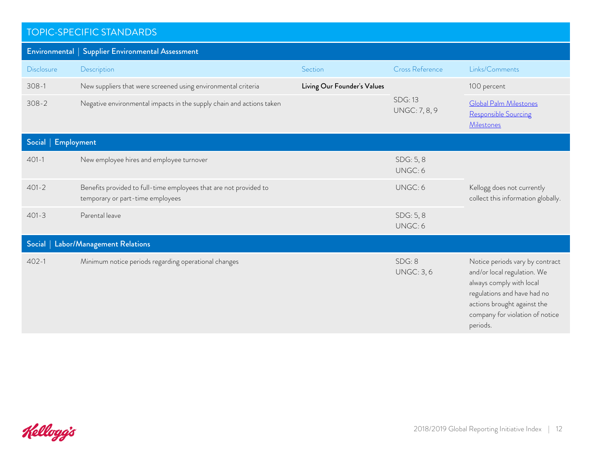|                                 | Environmental   Supplier Environmental Assessment                                                     |                             |                                        |                                                                                                                                                                                                         |
|---------------------------------|-------------------------------------------------------------------------------------------------------|-----------------------------|----------------------------------------|---------------------------------------------------------------------------------------------------------------------------------------------------------------------------------------------------------|
| <b>Disclosure</b>               | Description                                                                                           | Section                     | Cross Reference                        | Links/Comments                                                                                                                                                                                          |
| $308 - 1$                       | New suppliers that were screened using environmental criteria                                         | Living Our Founder's Values | <b>SDG: 13</b><br><b>UNGC: 7, 8, 9</b> | 100 percent                                                                                                                                                                                             |
| $308 - 2$                       | Negative environmental impacts in the supply chain and actions taken                                  |                             |                                        | <b>Global Palm Milestones</b><br>Responsible Sourcing<br><b>Milestones</b>                                                                                                                              |
| <b>Employment</b><br>Social $ $ |                                                                                                       |                             |                                        |                                                                                                                                                                                                         |
| $401 - 1$                       | New employee hires and employee turnover                                                              |                             | SDG: 5, 8<br>UNGC: 6                   |                                                                                                                                                                                                         |
| $401 - 2$                       | Benefits provided to full-time employees that are not provided to<br>temporary or part-time employees |                             | UNGC: 6                                | Kellogg does not currently<br>collect this information globally.                                                                                                                                        |
| $401 - 3$                       | Parental leave                                                                                        |                             | SDG: 5, 8<br>UNGC: 6                   |                                                                                                                                                                                                         |
| Social $ $                      | Labor/Management Relations                                                                            |                             |                                        |                                                                                                                                                                                                         |
| $402 - 1$                       | Minimum notice periods regarding operational changes                                                  |                             | SDG: 8<br><b>UNGC: 3, 6</b>            | Notice periods vary by contract<br>and/or local regulation. We<br>always comply with local<br>regulations and have had no<br>actions brought against the<br>company for violation of notice<br>periods. |

Kelloggis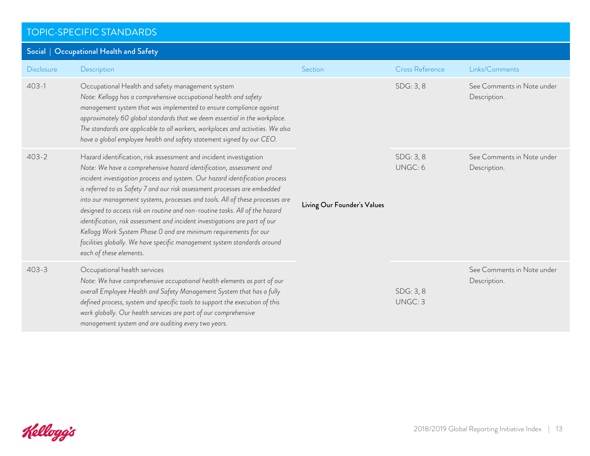| Social   Occupational Health and Safety |                                                                                                                                                                                                                                                                                                                                                                                                                                                                                                                                                                                                                                                                                                                                |                             |                        |                                            |
|-----------------------------------------|--------------------------------------------------------------------------------------------------------------------------------------------------------------------------------------------------------------------------------------------------------------------------------------------------------------------------------------------------------------------------------------------------------------------------------------------------------------------------------------------------------------------------------------------------------------------------------------------------------------------------------------------------------------------------------------------------------------------------------|-----------------------------|------------------------|--------------------------------------------|
| <b>Disclosure</b>                       | Description                                                                                                                                                                                                                                                                                                                                                                                                                                                                                                                                                                                                                                                                                                                    | Section                     | <b>Cross Reference</b> | Links/Comments                             |
| $403 - 1$                               | Occupational Health and safety management system<br>Note: Kellogg has a comprehensive occupational health and safety<br>management system that was implemented to ensure compliance against<br>approximately 60 global standards that we deem essential in the workplace.<br>The standards are applicable to all workers, workplaces and activities. We also<br>have a global employee health and safety statement signed by our CEO.                                                                                                                                                                                                                                                                                          | Living Our Founder's Values | SDG: 3, 8              | See Comments in Note under<br>Description. |
| $403 - 2$                               | Hazard identification, risk assessment and incident investigation<br>Note: We have a comprehensive hazard identification, assessment and<br>incident investigation process and system. Our hazard identification process<br>is referred to as Safety 7 and our risk assessment processes are embedded<br>into our management systems, processes and tools. All of these processes are<br>designed to access risk on routine and non-routine tasks. All of the hazard<br>identification, risk assessment and incident investigations are part of our<br>Kellogg Work System Phase 0 and are minimum requirements for our<br>facilities globally. We have specific management system standards around<br>each of these elements. |                             | SDG: 3, 8<br>UNGC: 6   | See Comments in Note under<br>Description. |
| $403 - 3$                               | Occupational health services<br>Note: We have comprehensive occupational health elements as part of our<br>overall Employee Health and Safety Management System that has a fully<br>defined process, system and specific tools to support the execution of this<br>work globally. Our health services are part of our comprehensive<br>management system and are auditing every two years.                                                                                                                                                                                                                                                                                                                                     |                             | SDG: 3, 8<br>UNGC: 3   | See Comments in Note under<br>Description. |

Kelloggis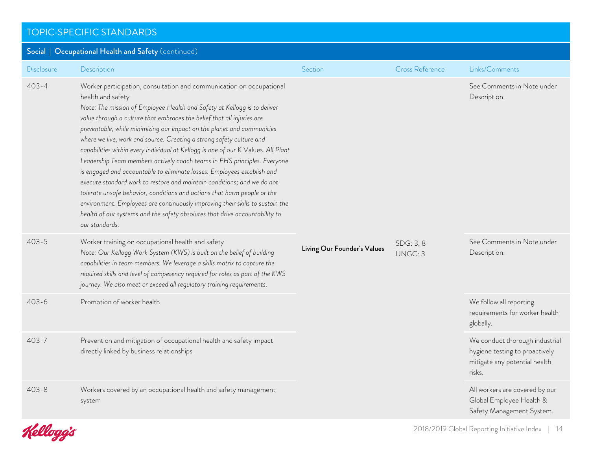| Social   Occupational Health and Safety (continued) |                                                                                                                                                                                                                                                                                                                                                                                                                                                                                                                                                                                                                                                                                                                                                                                                                                                                                                                                                                                        |                             |                        |                                                                                                             |
|-----------------------------------------------------|----------------------------------------------------------------------------------------------------------------------------------------------------------------------------------------------------------------------------------------------------------------------------------------------------------------------------------------------------------------------------------------------------------------------------------------------------------------------------------------------------------------------------------------------------------------------------------------------------------------------------------------------------------------------------------------------------------------------------------------------------------------------------------------------------------------------------------------------------------------------------------------------------------------------------------------------------------------------------------------|-----------------------------|------------------------|-------------------------------------------------------------------------------------------------------------|
| <b>Disclosure</b>                                   | Description                                                                                                                                                                                                                                                                                                                                                                                                                                                                                                                                                                                                                                                                                                                                                                                                                                                                                                                                                                            | Section                     | <b>Cross Reference</b> | Links/Comments                                                                                              |
| $403 - 4$                                           | Worker participation, consultation and communication on occupational<br>health and safety<br>Note: The mission of Employee Health and Safety at Kellogg is to deliver<br>value through a culture that embraces the belief that all injuries are<br>preventable, while minimizing our impact on the planet and communities<br>where we live, work and source. Creating a strong safety culture and<br>capabilities within every individual at Kellogg is one of our K Values. All Plant<br>Leadership Team members actively coach teams in EHS principles. Everyone<br>is engaged and accountable to eliminate losses. Employees establish and<br>execute standard work to restore and maintain conditions; and we do not<br>tolerate unsafe behavior, conditions and actions that harm people or the<br>environment. Employees are continuously improving their skills to sustain the<br>health of our systems and the safety absolutes that drive accountability to<br>our standards. | Living Our Founder's Values | SDG: 3, 8<br>UNGC: 3   | See Comments in Note under<br>Description.                                                                  |
| $403 - 5$                                           | Worker training on occupational health and safety<br>Note: Our Kellogg Work System (KWS) is built on the belief of building<br>capabilities in team members. We leverage a skills matrix to capture the<br>required skills and level of competency required for roles as part of the KWS<br>journey. We also meet or exceed all regulatory training requirements.                                                                                                                                                                                                                                                                                                                                                                                                                                                                                                                                                                                                                      |                             |                        | See Comments in Note under<br>Description.                                                                  |
| $403 - 6$                                           | Promotion of worker health                                                                                                                                                                                                                                                                                                                                                                                                                                                                                                                                                                                                                                                                                                                                                                                                                                                                                                                                                             |                             |                        | We follow all reporting<br>requirements for worker health<br>globally.                                      |
| $403 - 7$                                           | Prevention and mitigation of occupational health and safety impact<br>directly linked by business relationships                                                                                                                                                                                                                                                                                                                                                                                                                                                                                                                                                                                                                                                                                                                                                                                                                                                                        |                             |                        | We conduct thorough industrial<br>hygiene testing to proactively<br>mitigate any potential health<br>risks. |
| $403 - 8$                                           | Workers covered by an occupational health and safety management<br>system                                                                                                                                                                                                                                                                                                                                                                                                                                                                                                                                                                                                                                                                                                                                                                                                                                                                                                              |                             |                        | All workers are covered by our<br>Global Employee Health &<br>Safety Management System.                     |

Kelloggis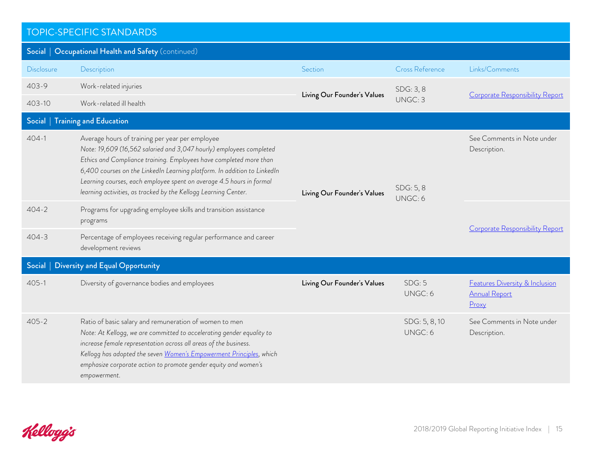| <b>TOPIC-SPECIFIC STANDARDS</b>                     |                                                                                                                                                                                                                                                                                                                                                                                                                     |                             |                          |                                                                            |  |
|-----------------------------------------------------|---------------------------------------------------------------------------------------------------------------------------------------------------------------------------------------------------------------------------------------------------------------------------------------------------------------------------------------------------------------------------------------------------------------------|-----------------------------|--------------------------|----------------------------------------------------------------------------|--|
| Social   Occupational Health and Safety (continued) |                                                                                                                                                                                                                                                                                                                                                                                                                     |                             |                          |                                                                            |  |
| Disclosure                                          | Description                                                                                                                                                                                                                                                                                                                                                                                                         | Section                     | <b>Cross Reference</b>   | Links/Comments                                                             |  |
| $403 - 9$                                           | Work-related injuries                                                                                                                                                                                                                                                                                                                                                                                               |                             | SDG: 3, 8<br>UNGC: 3     |                                                                            |  |
| $403 - 10$                                          | Work-related ill health                                                                                                                                                                                                                                                                                                                                                                                             | Living Our Founder's Values |                          | <b>Corporate Responsibility Report</b>                                     |  |
| Social                                              | <b>Training and Education</b>                                                                                                                                                                                                                                                                                                                                                                                       |                             |                          |                                                                            |  |
| $404 - 1$                                           | Average hours of training per year per employee<br>Note: 19,609 (16,562 salaried and 3,047 hourly) employees completed<br>Ethics and Compliance training. Employees have completed more than<br>6,400 courses on the LinkedIn Learning platform. In addition to LinkedIn<br>Learning courses, each employee spent on average 4.5 hours in formal<br>learning activities, as tracked by the Kellogg Learning Center. | Living Our Founder's Values | SDG: 5, 8<br>UNGC: 6     | See Comments in Note under<br>Description.                                 |  |
| $404 - 2$                                           | Programs for upgrading employee skills and transition assistance<br>programs                                                                                                                                                                                                                                                                                                                                        |                             |                          | Corporate Responsibility Report                                            |  |
| $404 - 3$                                           | Percentage of employees receiving regular performance and career<br>development reviews                                                                                                                                                                                                                                                                                                                             |                             |                          |                                                                            |  |
| Social                                              | <b>Diversity and Equal Opportunity</b>                                                                                                                                                                                                                                                                                                                                                                              |                             |                          |                                                                            |  |
| $405 - 1$                                           | Diversity of governance bodies and employees                                                                                                                                                                                                                                                                                                                                                                        | Living Our Founder's Values | SDG: 5<br>UNGC: 6        | <b>Features Diversity &amp; Inclusion</b><br><b>Annual Report</b><br>Proxy |  |
| $405 - 2$                                           | Ratio of basic salary and remuneration of women to men<br>Note: At Kellogg, we are committed to accelerating gender equality to<br>increase female representation across all areas of the business.<br>Kellogg has adopted the seven Women's Empowerment Principles, which<br>emphasize corporate action to promote gender equity and women's<br>empowerment.                                                       |                             | SDG: 5, 8, 10<br>UNGC: 6 | See Comments in Note under<br>Description.                                 |  |

Kelloggis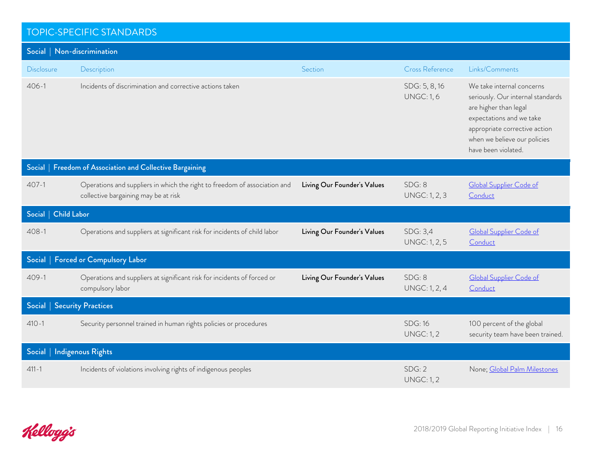| Social   Non-discrimination  |                                                                                                                   |                             |                                     |                                                                                                                                                                                                             |
|------------------------------|-------------------------------------------------------------------------------------------------------------------|-----------------------------|-------------------------------------|-------------------------------------------------------------------------------------------------------------------------------------------------------------------------------------------------------------|
| <b>Disclosure</b>            | Description                                                                                                       | Section                     | <b>Cross Reference</b>              | Links/Comments                                                                                                                                                                                              |
| $406 - 1$                    | Incidents of discrimination and corrective actions taken                                                          |                             | SDG: 5, 8, 16<br><b>UNGC: 1, 6</b>  | We take internal concerns<br>seriously. Our internal standards<br>are higher than legal<br>expectations and we take<br>appropriate corrective action<br>when we believe our policies<br>have been violated. |
| Social                       | Freedom of Association and Collective Bargaining                                                                  |                             |                                     |                                                                                                                                                                                                             |
| $407 - 1$                    | Operations and suppliers in which the right to freedom of association and<br>collective bargaining may be at risk | Living Our Founder's Values | SDG: 8<br><b>UNGC: 1, 2, 3</b>      | Global Supplier Code of<br>Conduct                                                                                                                                                                          |
| <b>Child Labor</b><br>Social |                                                                                                                   |                             |                                     |                                                                                                                                                                                                             |
| $408 - 1$                    | Operations and suppliers at significant risk for incidents of child labor                                         | Living Our Founder's Values | SDG: 3,4<br><b>UNGC: 1, 2, 5</b>    | <b>Global Supplier Code of</b><br>Conduct                                                                                                                                                                   |
| Social                       | <b>Forced or Compulsory Labor</b>                                                                                 |                             |                                     |                                                                                                                                                                                                             |
| $409 - 1$                    | Operations and suppliers at significant risk for incidents of forced or<br>compulsory labor                       | Living Our Founder's Values | SDG: 8<br><b>UNGC: 1, 2, 4</b>      | Global Supplier Code of<br>Conduct                                                                                                                                                                          |
| Social                       | <b>Security Practices</b>                                                                                         |                             |                                     |                                                                                                                                                                                                             |
| $410 - 1$                    | Security personnel trained in human rights policies or procedures                                                 |                             | <b>SDG: 16</b><br><b>UNGC: 1, 2</b> | 100 percent of the global<br>security team have been trained.                                                                                                                                               |
| Social                       | <b>Indigenous Rights</b>                                                                                          |                             |                                     |                                                                                                                                                                                                             |
| $411 - 1$                    | Incidents of violations involving rights of indigenous peoples                                                    |                             | SDG: 2<br><b>UNGC: 1, 2</b>         | None; Global Palm Milestones                                                                                                                                                                                |

Kelloggis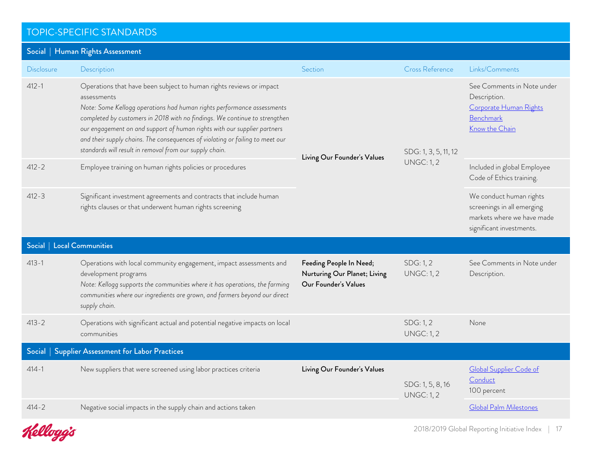| Social   Human Rights Assessment                 |                                                                                                                                                                                                                                                                                                                                                                                                                                                                    |                                                                                 |                                           |                                                                                                                 |
|--------------------------------------------------|--------------------------------------------------------------------------------------------------------------------------------------------------------------------------------------------------------------------------------------------------------------------------------------------------------------------------------------------------------------------------------------------------------------------------------------------------------------------|---------------------------------------------------------------------------------|-------------------------------------------|-----------------------------------------------------------------------------------------------------------------|
| <b>Disclosure</b>                                | Description                                                                                                                                                                                                                                                                                                                                                                                                                                                        | Section                                                                         | <b>Cross Reference</b>                    | Links/Comments                                                                                                  |
| $412 - 1$                                        | Operations that have been subject to human rights reviews or impact<br>assessments<br>Note: Some Kellogg operations had human rights performance assessments<br>completed by customers in 2018 with no findings. We continue to strengthen<br>our engagement on and support of human rights with our supplier partners<br>and their supply chains. The consequences of violating or failing to meet our<br>standards will result in removal from our supply chain. | Living Our Founder's Values                                                     | SDG: 1, 3, 5, 11, 12<br><b>UNGC: 1, 2</b> | See Comments in Note under<br>Description.<br>Corporate Human Rights<br>Benchmark<br>Know the Chain             |
| $412 - 2$                                        | Employee training on human rights policies or procedures                                                                                                                                                                                                                                                                                                                                                                                                           |                                                                                 |                                           | Included in global Employee<br>Code of Ethics training.                                                         |
| $412 - 3$                                        | Significant investment agreements and contracts that include human<br>rights clauses or that underwent human rights screening                                                                                                                                                                                                                                                                                                                                      |                                                                                 |                                           | We conduct human rights<br>screenings in all emerging<br>markets where we have made<br>significant investments. |
| Social   Local Communities                       |                                                                                                                                                                                                                                                                                                                                                                                                                                                                    |                                                                                 |                                           |                                                                                                                 |
| $413 - 1$                                        | Operations with local community engagement, impact assessments and<br>development programs<br>Note: Kellogg supports the communities where it has operations, the farming<br>communities where our ingredients are grown, and farmers beyond our direct<br>supply chain.                                                                                                                                                                                           | Feeding People In Need;<br>Nurturing Our Planet; Living<br>Our Founder's Values | SDG: 1, 2<br><b>UNGC: 1, 2</b>            | See Comments in Note under<br>Description.                                                                      |
| $413 - 2$                                        | Operations with significant actual and potential negative impacts on local<br>communities                                                                                                                                                                                                                                                                                                                                                                          |                                                                                 | SDG: 1, 2<br><b>UNGC: 1, 2</b>            | None                                                                                                            |
| Social   Supplier Assessment for Labor Practices |                                                                                                                                                                                                                                                                                                                                                                                                                                                                    |                                                                                 |                                           |                                                                                                                 |
| $414 - 1$                                        | New suppliers that were screened using labor practices criteria                                                                                                                                                                                                                                                                                                                                                                                                    | Living Our Founder's Values                                                     | SDG: 1, 5, 8, 16<br><b>UNGC: 1, 2</b>     | Global Supplier Code of<br>Conduct<br>100 percent                                                               |
| $414 - 2$                                        | Negative social impacts in the supply chain and actions taken                                                                                                                                                                                                                                                                                                                                                                                                      |                                                                                 |                                           | <b>Global Palm Milestones</b>                                                                                   |

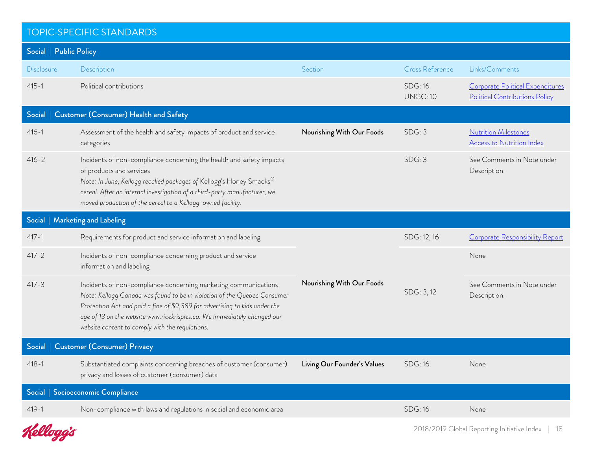| <b>TOPIC-SPECIFIC STANDARDS</b>              |                                                                                                                                                                                                                                                                                                                                                           |                             |                                   |                                                                    |  |
|----------------------------------------------|-----------------------------------------------------------------------------------------------------------------------------------------------------------------------------------------------------------------------------------------------------------------------------------------------------------------------------------------------------------|-----------------------------|-----------------------------------|--------------------------------------------------------------------|--|
| Social   Public Policy                       |                                                                                                                                                                                                                                                                                                                                                           |                             |                                   |                                                                    |  |
| Disclosure                                   | Description                                                                                                                                                                                                                                                                                                                                               | Section                     | <b>Cross Reference</b>            | Links/Comments                                                     |  |
| $415 - 1$                                    | Political contributions                                                                                                                                                                                                                                                                                                                                   |                             | <b>SDG: 16</b><br><b>UNGC: 10</b> | Corporate Political Expenditures<br>Political Contributions Policy |  |
| Social                                       | <b>Customer (Consumer) Health and Safety</b>                                                                                                                                                                                                                                                                                                              |                             |                                   |                                                                    |  |
| $416 - 1$                                    | Assessment of the health and safety impacts of product and service<br>categories                                                                                                                                                                                                                                                                          | Nourishing With Our Foods   | SDG: 3                            | <b>Nutrition Milestones</b><br><b>Access to Nutrition Index</b>    |  |
| $416 - 2$                                    | Incidents of non-compliance concerning the health and safety impacts<br>of products and services<br>Note: In June, Kellogg recalled packages of Kellogg's Honey Smacks®<br>cereal. After an internal investigation of a third-party manufacturer, we<br>moved production of the cereal to a Kellogg-owned facility.                                       |                             | SDG: 3                            | See Comments in Note under<br>Description.                         |  |
|                                              | Social   Marketing and Labeling                                                                                                                                                                                                                                                                                                                           |                             |                                   |                                                                    |  |
| $417 - 1$                                    | Requirements for product and service information and labeling                                                                                                                                                                                                                                                                                             |                             | SDG: 12, 16                       | Corporate Responsibility Report                                    |  |
| $417 - 2$                                    | Incidents of non-compliance concerning product and service<br>information and labeling                                                                                                                                                                                                                                                                    |                             |                                   | None                                                               |  |
| $417 - 3$                                    | Incidents of non-compliance concerning marketing communications<br>Note: Kellogg Canada was found to be in violation of the Quebec Consumer<br>Protection Act and paid a fine of \$9,389 for advertising to kids under the<br>age of 13 on the website www.ricekrispies.ca. We immediately changed our<br>website content to comply with the regulations. | Nourishing With Our Foods   | SDG: 3, 12                        | See Comments in Note under<br>Description.                         |  |
| <b>Customer (Consumer) Privacy</b><br>Social |                                                                                                                                                                                                                                                                                                                                                           |                             |                                   |                                                                    |  |
| $418 - 1$                                    | Substantiated complaints concerning breaches of customer (consumer)<br>privacy and losses of customer (consumer) data                                                                                                                                                                                                                                     | Living Our Founder's Values | <b>SDG: 16</b>                    | None                                                               |  |
|                                              | Social   Socioeconomic Compliance                                                                                                                                                                                                                                                                                                                         |                             |                                   |                                                                    |  |
| $419 - 1$                                    | Non-compliance with laws and regulations in social and economic area                                                                                                                                                                                                                                                                                      |                             | <b>SDG: 16</b>                    | None                                                               |  |
| Kelloggis                                    |                                                                                                                                                                                                                                                                                                                                                           |                             |                                   | 2018/2019 Global Reporting Initiative Index<br>18                  |  |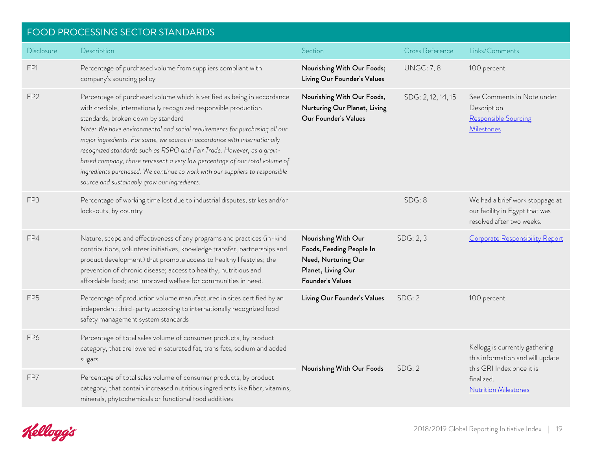# <span id="page-18-0"></span>FOOD PROCESSING SECTOR STANDARDS

| <b>Disclosure</b> | Description                                                                                                                                                                                                                                                                                                                                                                                                                                                                                                                                                                                                                           | Section                                                                                                          | Cross Reference    | Links/Comments                                                                                  |
|-------------------|---------------------------------------------------------------------------------------------------------------------------------------------------------------------------------------------------------------------------------------------------------------------------------------------------------------------------------------------------------------------------------------------------------------------------------------------------------------------------------------------------------------------------------------------------------------------------------------------------------------------------------------|------------------------------------------------------------------------------------------------------------------|--------------------|-------------------------------------------------------------------------------------------------|
| FP1               | Percentage of purchased volume from suppliers compliant with<br>company's sourcing policy                                                                                                                                                                                                                                                                                                                                                                                                                                                                                                                                             | Nourishing With Our Foods;<br>Living Our Founder's Values                                                        | <b>UNGC: 7, 8</b>  | 100 percent                                                                                     |
| FP <sub>2</sub>   | Percentage of purchased volume which is verified as being in accordance<br>with credible, internationally recognized responsible production<br>standards, broken down by standard<br>Note: We have environmental and social requirements for purchasing all our<br>major ingredients. For some, we source in accordance with internationally<br>recognized standards such as RSPO and Fair Trade. However, as a grain-<br>based company, those represent a very low percentage of our total volume of<br>ingredients purchased. We continue to work with our suppliers to responsible<br>source and sustainably grow our ingredients. | Nourishing With Our Foods,<br>Nurturing Our Planet, Living<br>Our Founder's Values                               | SDG: 2, 12, 14, 15 | See Comments in Note under<br>Description.<br>Responsible Sourcing<br>Milestones                |
| FP3               | Percentage of working time lost due to industrial disputes, strikes and/or<br>lock-outs, by country                                                                                                                                                                                                                                                                                                                                                                                                                                                                                                                                   |                                                                                                                  | SDG: 8             | We had a brief work stoppage at<br>our facility in Egypt that was<br>resolved after two weeks.  |
| FP4               | Nature, scope and effectiveness of any programs and practices (in-kind<br>contributions, volunteer initiatives, knowledge transfer, partnerships and<br>product development) that promote access to healthy lifestyles; the<br>prevention of chronic disease; access to healthy, nutritious and<br>affordable food; and improved welfare for communities in need.                                                                                                                                                                                                                                                                     | Nourishing With Our<br>Foods, Feeding People In<br>Need, Nurturing Our<br>Planet, Living Our<br>Founder's Values | SDG: 2, 3          | Corporate Responsibility Report                                                                 |
| FP <sub>5</sub>   | Percentage of production volume manufactured in sites certified by an<br>independent third-party according to internationally recognized food<br>safety management system standards                                                                                                                                                                                                                                                                                                                                                                                                                                                   | Living Our Founder's Values                                                                                      | SDG: 2             | 100 percent                                                                                     |
| FP <sub>6</sub>   | Percentage of total sales volume of consumer products, by product<br>category, that are lowered in saturated fat, trans fats, sodium and added<br>sugars                                                                                                                                                                                                                                                                                                                                                                                                                                                                              | Nourishing With Our Foods                                                                                        | SDG: 2             | Kellogg is currently gathering<br>this information and will update<br>this GRI Index once it is |
| FP7               | Percentage of total sales volume of consumer products, by product<br>category, that contain increased nutritious ingredients like fiber, vitamins,<br>minerals, phytochemicals or functional food additives                                                                                                                                                                                                                                                                                                                                                                                                                           |                                                                                                                  |                    | finalized.<br><b>Nutrition Milestones</b>                                                       |

Kelloggis